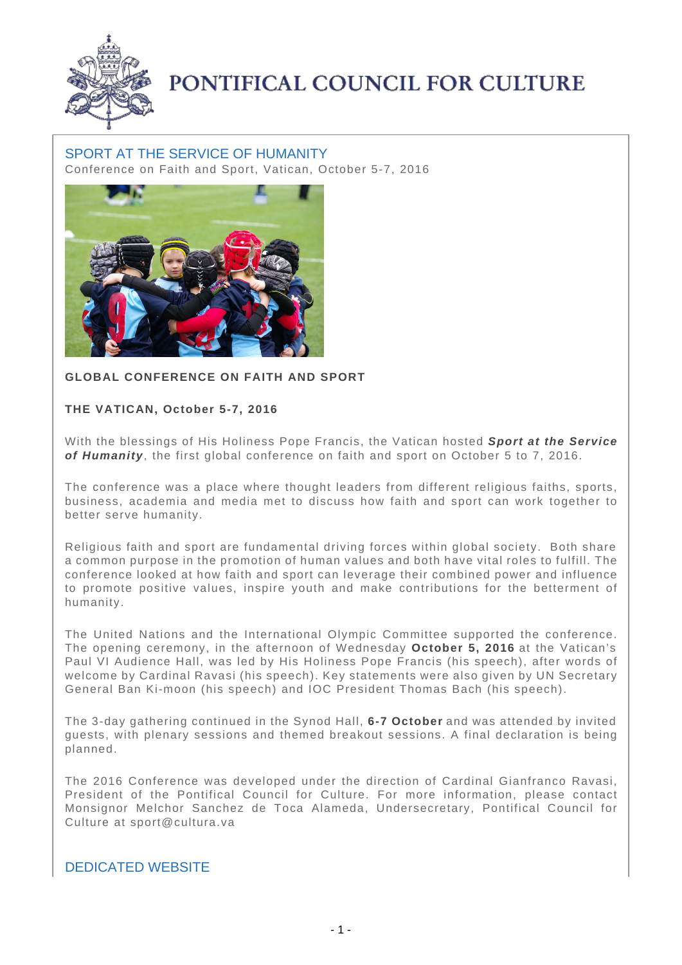

## PONTIFICAL COUNCIL FOR CULTURE

## SPORT AT THE SERVICE OF HUMANITY Conference on Faith and Sport, Vatican, October 5-7, 2016



## **GLOBAL CONFERENCE ON FAITH AND SPORT**

## **THE VATICAN, October 5-7, 2016**

With the blessings of His Holiness Pope Francis, the Vatican hosted **Sport at the Service of Humanity**, the first global conference on faith and sport on October 5 to 7, 2016.

The conference was a place where thought leaders from different religious faiths, sports, business, academia and media met to discuss how faith and sport can work together to better serve humanity.

Religious faith and sport are fundamental driving forces within global society. Both share a common purpose in the promotion of human values and both have vital roles to fulfill. The conference looked at how faith and sport can leverage their combined power and influence to promote positive values, inspire youth and make contributions for the betterment of humanity.

The United Nations and the International Olympic Committee supported the conference. The opening ceremony, in the afternoon of Wednesday **October 5, 2016** at the Vatican's Paul VI Audience Hall, was led by His Holiness Pope Francis (his speech), after words of welcome by Cardinal Ravasi (his speech). Key statements were also given by UN Secretary General Ban Ki-moon (his speech) and IOC President Thomas Bach (his speech).

The 3-day gathering continued in the Synod Hall, **6-7 October** and was attended by invited guests, with plenary sessions and themed breakout sessions. A final declaration is being planned.

The 2016 Conference was developed under the direction of Cardinal Gianfranco Ravasi, President of the Pontifical Council for Culture. For more information, please contact Monsignor Melchor Sanchez de Toca Alameda, Undersecretary, Pontifical Council for Culture at sport@cultura.va

DEDICATED WEBSITE